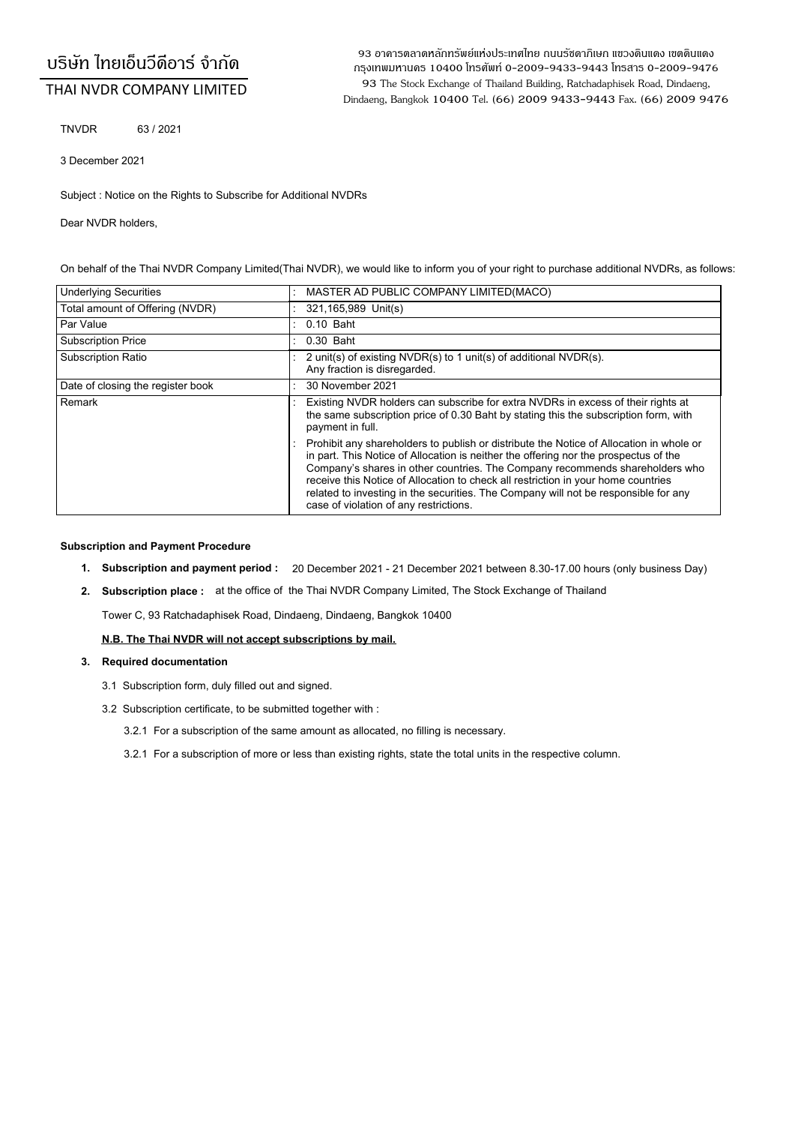# ้บริษัท ไทยเอ็นวีดีอาร์ จำกัด

# THAI NVDR COMPANY LIMITED

93 อาคารตลาดหลักทรัพย์แห่งประเทศไทย ถนนรัซดาภิเษก แขวงดินแดง เขตดินแดง ุกรงเทพมหานคร 10400 โทรศัพท์ 0-2009-9433-9443 โทรสาร 0-2009-9476 93 The Stock Exchange of Thailand Building, Ratchadaphisek Road, Dindaeng, Dindaeng, Bangkok 10400 Tel. (66) 2009 9433-9443 Fax. (66) 2009 9476

TNVDR 63 / 2021

3 December 2021

Subject : Notice on the Rights to Subscribe for Additional NVDRs

Dear NVDR holders,

On behalf of the Thai NVDR Company Limited(Thai NVDR), we would like to inform you of your right to purchase additional NVDRs, as follows:

| <b>Underlying Securities</b>      | MASTER AD PUBLIC COMPANY LIMITED (MACO)                                                                                                                                                                                                                                                                                                                                                                                                                                               |  |  |
|-----------------------------------|---------------------------------------------------------------------------------------------------------------------------------------------------------------------------------------------------------------------------------------------------------------------------------------------------------------------------------------------------------------------------------------------------------------------------------------------------------------------------------------|--|--|
| Total amount of Offering (NVDR)   | 321,165,989 Unit(s)                                                                                                                                                                                                                                                                                                                                                                                                                                                                   |  |  |
| Par Value                         | $0.10$ Baht                                                                                                                                                                                                                                                                                                                                                                                                                                                                           |  |  |
| <b>Subscription Price</b>         | 0.30 Baht                                                                                                                                                                                                                                                                                                                                                                                                                                                                             |  |  |
| <b>Subscription Ratio</b>         | 2 unit(s) of existing NVDR(s) to 1 unit(s) of additional NVDR(s).<br>Any fraction is disregarded.                                                                                                                                                                                                                                                                                                                                                                                     |  |  |
| Date of closing the register book | 30 November 2021                                                                                                                                                                                                                                                                                                                                                                                                                                                                      |  |  |
| Remark                            | Existing NVDR holders can subscribe for extra NVDRs in excess of their rights at<br>the same subscription price of 0.30 Baht by stating this the subscription form, with<br>payment in full.                                                                                                                                                                                                                                                                                          |  |  |
|                                   | Prohibit any shareholders to publish or distribute the Notice of Allocation in whole or<br>in part. This Notice of Allocation is neither the offering nor the prospectus of the<br>Company's shares in other countries. The Company recommends shareholders who<br>receive this Notice of Allocation to check all restriction in your home countries<br>related to investing in the securities. The Company will not be responsible for any<br>case of violation of any restrictions. |  |  |

### **Subscription and Payment Procedure**

- **1. Subscription and payment period :** 20 December 2021 21 December 2021 between 8.30-17.00 hours (only business Day)
- **2. Subscription place:** at the office of the Thai NVDR Company Limited, The Stock Exchange of Thailand

Tower C, 93 Ratchadaphisek Road, Dindaeng, Dindaeng, Bangkok 10400

**N.B. The Thai NVDR will not accept subscriptions by mail.**

#### **3. Required documentation**

- 3.1 Subscription form, duly filled out and signed.
- 3.2 Subscription certificate, to be submitted together with :
	- 3.2.1 For a subscription of the same amount as allocated, no filling is necessary.
	- 3.2.1 For a subscription of more or less than existing rights, state the total units in the respective column.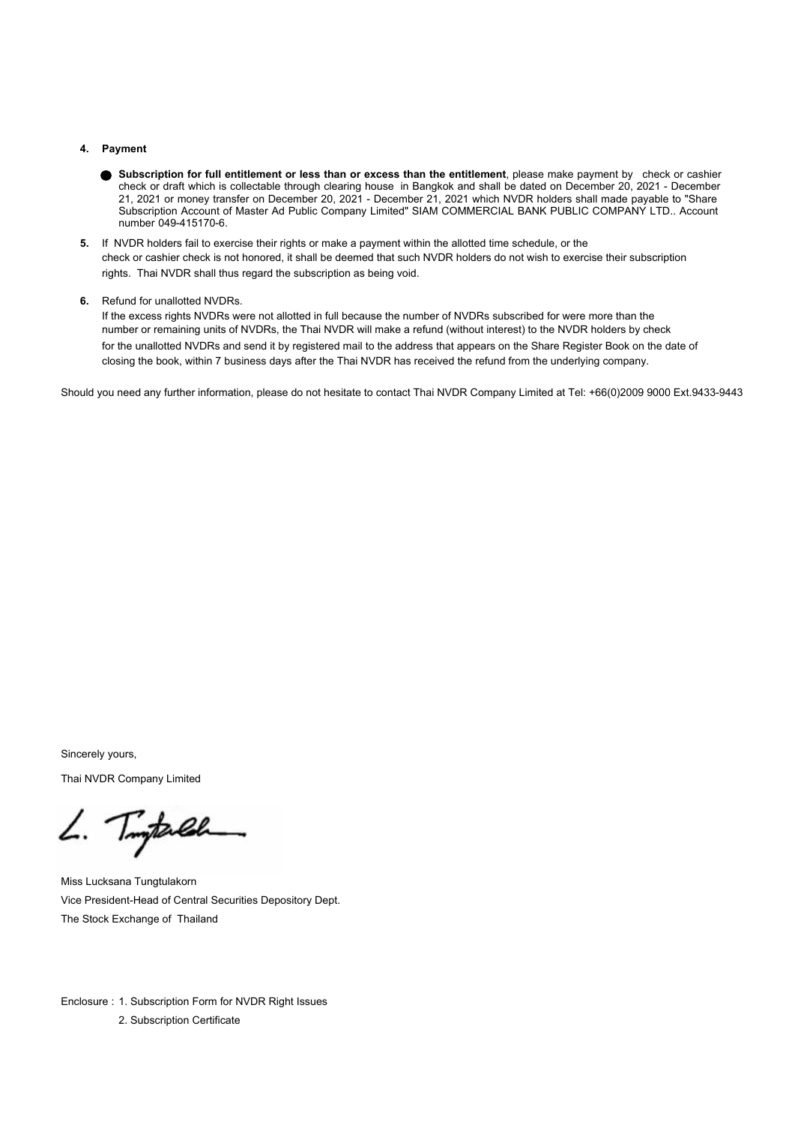#### **4. Payment**

- **Subscription for full entitlement or less than or excess than the entitlement**, please make payment by check or cashier check or draft which is collectable through clearing house in Bangkok and shall be dated on December 20, 2021 - December 21, 2021 or money transfer on December 20, 2021 - December 21, 2021 which NVDR holders shall made payable to "Share Subscription Account of Master Ad Public Company Limited" SIAM COMMERCIAL BANK PUBLIC COMPANY LTD.. Account number 049-415170-6.
- **5.** If NVDR holders fail to exercise their rights or make a payment within the allotted time schedule, or the check or cashier check is not honored, it shall be deemed that such NVDR holders do not wish to exercise their subscription rights. Thai NVDR shall thus regard the subscription as being void.
- **6.** Refund for unallotted NVDRs.

If the excess rights NVDRs were not allotted in full because the number of NVDRs subscribed for were more than the number or remaining units of NVDRs, the Thai NVDR will make a refund (without interest) to the NVDR holders by check for the unallotted NVDRs and send it by registered mail to the address that appears on the Share Register Book on the date of closing the book, within 7 business days after the Thai NVDR has received the refund from the underlying company.

Should you need any further information, please do not hesitate to contact Thai NVDR Company Limited at Tel: +66(0)2009 9000 Ext.9433-9443

Sincerely yours,

Thai NVDR Company Limited

L. Tingtarlah

Miss Lucksana Tungtulakorn Vice President-Head of Central Securities Depository Dept. The Stock Exchange of Thailand

Enclosure : 1. Subscription Form for NVDR Right Issues 2. Subscription Certificate